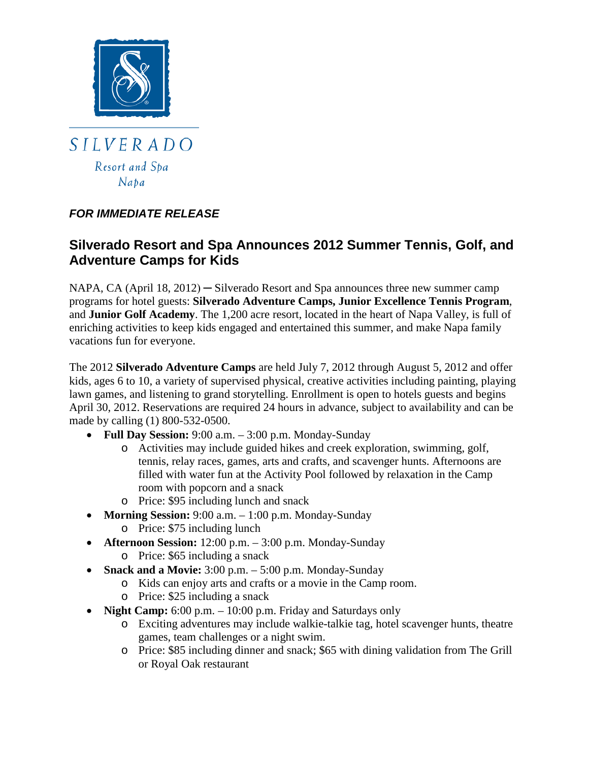

 $Naba$ 

## *FOR IMMEDIATE RELEASE*

# **Silverado Resort and Spa Announces 2012 Summer Tennis, Golf, and Adventure Camps for Kids**

NAPA, CA (April 18, 2012) — Silverado Resort and Spa announces three new summer camp programs for hotel guests: **Silverado Adventure Camps, Junior Excellence Tennis Program**, and **Junior Golf Academy**. The 1,200 acre resort, located in the heart of Napa Valley, is full of enriching activities to keep kids engaged and entertained this summer, and make Napa family vacations fun for everyone.

The 2012 **Silverado Adventure Camps** are held July 7, 2012 through August 5, 2012 and offer kids, ages 6 to 10, a variety of supervised physical, creative activities including painting, playing lawn games, and listening to grand storytelling. Enrollment is open to hotels guests and begins April 30, 2012. Reservations are required 24 hours in advance, subject to availability and can be made by calling (1) 800-532-0500.

- **Full Day Session:** 9:00 a.m. 3:00 p.m. Monday-Sunday
	- o Activities may include guided hikes and creek exploration, swimming, golf, tennis, relay races, games, arts and crafts, and scavenger hunts. Afternoons are filled with water fun at the Activity Pool followed by relaxation in the Camp room with popcorn and a snack
	- o Price: \$95 including lunch and snack
- **Morning Session:** 9:00 a.m. 1:00 p.m. Monday-Sunday
	- o Price: \$75 including lunch
- **Afternoon Session:** 12:00 p.m. 3:00 p.m. Monday-Sunday
	- o Price: \$65 including a snack
- **Snack and a Movie:** 3:00 p.m. 5:00 p.m. Monday-Sunday
	- o Kids can enjoy arts and crafts or a movie in the Camp room.
	- o Price: \$25 including a snack
- **Night Camp:** 6:00 p.m. 10:00 p.m. Friday and Saturdays only
	- o Exciting adventures may include walkie-talkie tag, hotel scavenger hunts, theatre games, team challenges or a night swim.
	- o Price: \$85 including dinner and snack; \$65 with dining validation from The Grill or Royal Oak restaurant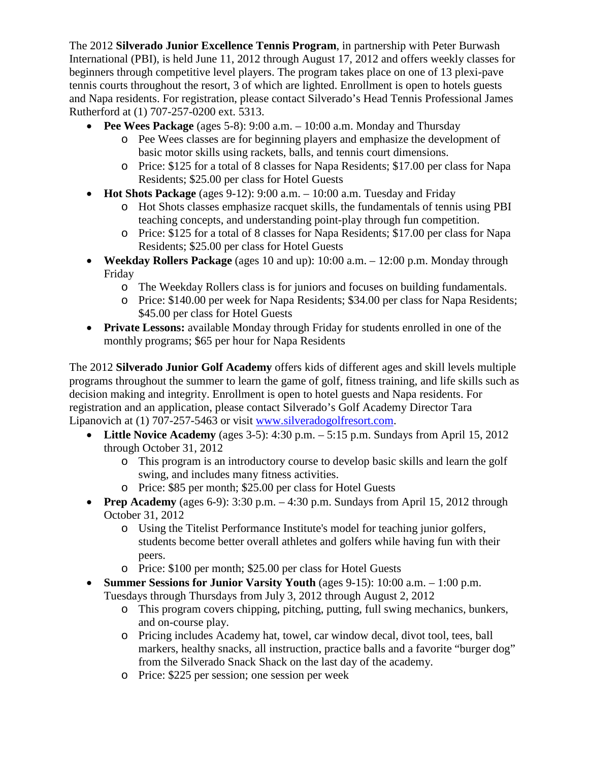The 2012 **Silverado Junior Excellence Tennis Program**, in partnership with Peter Burwash International (PBI), is held June 11, 2012 through August 17, 2012 and offers weekly classes for beginners through competitive level players. The program takes place on one of 13 plexi-pave tennis courts throughout the resort, 3 of which are lighted. Enrollment is open to hotels guests and Napa residents. For registration, please contact Silverado's Head Tennis Professional James Rutherford at (1) 707-257-0200 ext. 5313.

- **Pee Wees Package** (ages 5-8): 9:00 a.m. 10:00 a.m. Monday and Thursday
	- o Pee Wees classes are for beginning players and emphasize the development of basic motor skills using rackets, balls, and tennis court dimensions.
	- o Price: \$125 for a total of 8 classes for Napa Residents; \$17.00 per class for Napa Residents; \$25.00 per class for Hotel Guests
- **Hot Shots Package** (ages 9-12): 9:00 a.m. 10:00 a.m. Tuesday and Friday
	- o Hot Shots classes emphasize racquet skills, the fundamentals of tennis using PBI teaching concepts, and understanding point-play through fun competition.
	- o Price: \$125 for a total of 8 classes for Napa Residents; \$17.00 per class for Napa Residents; \$25.00 per class for Hotel Guests
- **Weekday Rollers Package** (ages 10 and up): 10:00 a.m. 12:00 p.m. Monday through Friday
	- o The Weekday Rollers class is for juniors and focuses on building fundamentals.
	- o Price: \$140.00 per week for Napa Residents; \$34.00 per class for Napa Residents; \$45.00 per class for Hotel Guests
- **Private Lessons:** available Monday through Friday for students enrolled in one of the monthly programs; \$65 per hour for Napa Residents

The 2012 **Silverado Junior Golf Academy** offers kids of different ages and skill levels multiple programs throughout the summer to learn the game of golf, fitness training, and life skills such as decision making and integrity. Enrollment is open to hotel guests and Napa residents. For registration and an application, please contact Silverado's Golf Academy Director Tara Lipanovich at (1) 707-257-5463 or visit [www.silveradogolfresort.com.](http://www.silveradogolfresort.com/)

- **Little Novice Academy** (ages 3-5): 4:30 p.m. 5:15 p.m. Sundays from April 15, 2012 through October 31, 2012
	- o This program is an introductory course to develop basic skills and learn the golf swing, and includes many fitness activities.
	- o Price: \$85 per month; \$25.00 per class for Hotel Guests
- **Prep Academy** (ages 6-9):  $3:30$  p.m.  $-4:30$  p.m. Sundays from April 15, 2012 through October 31, 2012
	- o Using the Titelist Performance Institute's model for teaching junior golfers, students become better overall athletes and golfers while having fun with their peers.
	- o Price: \$100 per month; \$25.00 per class for Hotel Guests
- **Summer Sessions for Junior Varsity Youth** (ages 9-15): 10:00 a.m. 1:00 p.m.
	- Tuesdays through Thursdays from July 3, 2012 through August 2, 2012
		- o This program covers chipping, pitching, putting, full swing mechanics, bunkers, and on-course play.
		- o Pricing includes Academy hat, towel, car window decal, divot tool, tees, ball markers, healthy snacks, all instruction, practice balls and a favorite "burger dog" from the Silverado Snack Shack on the last day of the academy.
		- o Price: \$225 per session; one session per week